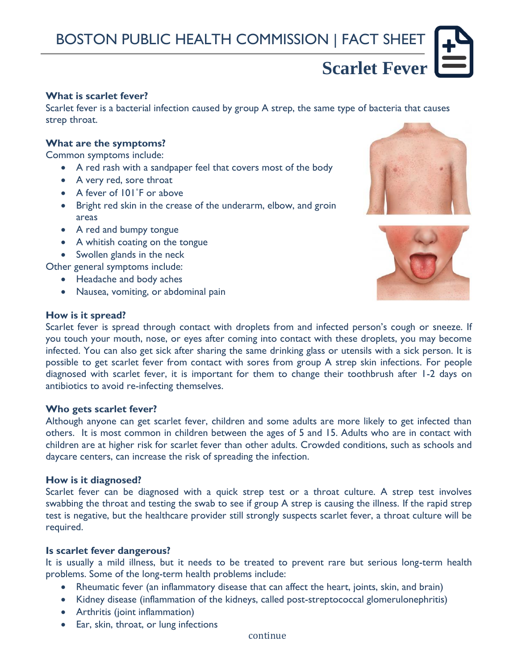# **Scarlet Fever**

# **What is scarlet fever?**

Scarlet fever is a bacterial infection caused by group A strep, the same type of bacteria that causes strep throat.

# **What are the symptoms?**

Common symptoms include:

- A red rash with a sandpaper feel that covers most of the body
- A very red, sore throat
- A fever of  $101°F$  or above
- Bright red skin in the crease of the underarm, elbow, and groin areas
- A red and bumpy tongue
- A whitish coating on the tongue
- Swollen glands in the neck

Other general symptoms include:

- Headache and body aches
- Nausea, vomiting, or abdominal pain



#### **How is it spread?**

Scarlet fever is spread through contact with droplets from and infected person's cough or sneeze. If you touch your mouth, nose, or eyes after coming into contact with these droplets, you may become infected. You can also get sick after sharing the same drinking glass or utensils with a sick person. It is possible to get scarlet fever from contact with sores from group A strep skin infections. For people diagnosed with scarlet fever, it is important for them to change their toothbrush after 1-2 days on antibiotics to avoid re-infecting themselves.

#### **Who gets scarlet fever?**

Although anyone can get scarlet fever, children and some adults are more likely to get infected than others. It is most common in children between the ages of 5 and 15. Adults who are in contact with children are at higher risk for scarlet fever than other adults. Crowded conditions, such as schools and daycare centers, can increase the risk of spreading the infection.

#### **How is it diagnosed?**

Scarlet fever can be diagnosed with a quick strep test or a throat culture. A strep test involves swabbing the throat and testing the swab to see if group A strep is causing the illness. If the rapid strep test is negative, but the healthcare provider still strongly suspects scarlet fever, a throat culture will be required.

#### **Is scarlet fever dangerous?**

It is usually a mild illness, but it needs to be treated to prevent rare but serious long-term health problems. Some of the long-term health problems include:

- Rheumatic fever (an inflammatory disease that can affect the heart, joints, skin, and brain)
- Kidney disease (inflammation of the kidneys, called post-streptococcal glomerulonephritis)
- Arthritis (joint inflammation)
- Ear, skin, throat, or lung infections